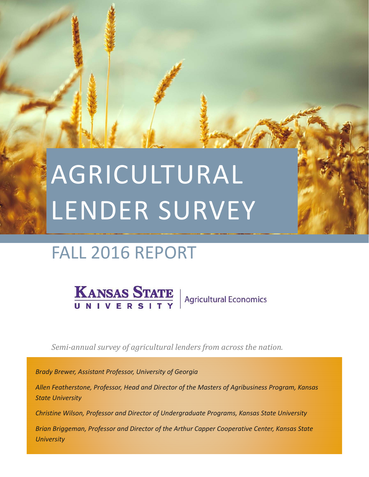# FALL 2016 REPORT

**KANSAS STATE** Agricultural Economics

*Semi‐annual survey of agricultural lenders from across the nation.* 

*Brady Brewer, Assistant Professor, University of Georgia* 

*Allen Featherstone, Professor, Head and Director of the Masters of Agribusiness Program, Kansas State University* 

*Christine Wilson, Professor and Director of Undergraduate Programs, Kansas State University* 

*Brian Briggeman, Professor and Director of the Arthur Capper Cooperative Center, Kansas State University*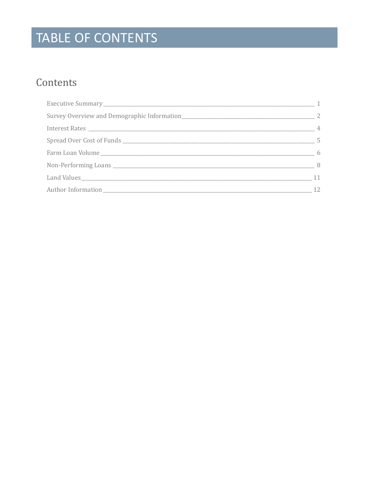# TABLE OF CONTENTS

### Contents

| -1 |
|----|
|    |
| 4  |
|    |
|    |
|    |
| 11 |
|    |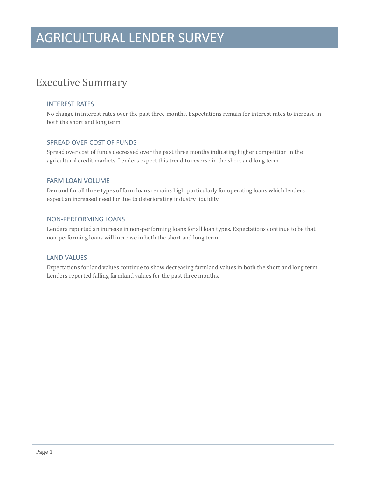### **Executive Summary**

#### INTEREST RATES

No change in interest rates over the past three months. Expectations remain for interest rates to increase in both the short and long term.

#### SPREAD OVER COST OF FUNDS

Spread over cost of funds decreased over the past three months indicating higher competition in the agricultural credit markets. Lenders expect this trend to reverse in the short and long term.

#### FARM LOAN VOLUME

Demand for all three types of farm loans remains high, particularly for operating loans which lenders expect an increased need for due to deteriorating industry liquidity.

#### NON‐PERFORMING LOANS

Lenders reported an increase in non-performing loans for all loan types. Expectations continue to be that non-performing loans will increase in both the short and long term.

#### LAND VALUES

Expectations for land values continue to show decreasing farmland values in both the short and long term. Lenders reported falling farmland values for the past three months.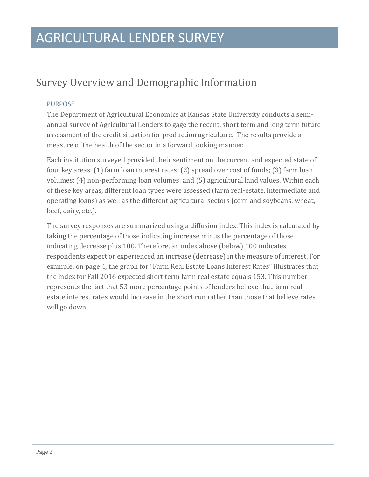### Survey Overview and Demographic Information

#### PURPOSE

The Department of Agricultural Economics at Kansas State University conducts a semiannual survey of Agricultural Lenders to gage the recent, short term and long term future assessment of the credit situation for production agriculture. The results provide a measure of the health of the sector in a forward looking manner.

Each institution surveyed provided their sentiment on the current and expected state of four key areas:  $(1)$  farm loan interest rates;  $(2)$  spread over cost of funds;  $(3)$  farm loan volumes; (4) non-performing loan volumes; and (5) agricultural land values. Within each of these key areas, different loan types were assessed (farm real-estate, intermediate and operating loans) as well as the different agricultural sectors (corn and soybeans, wheat, beef, dairy, etc.).

The survey responses are summarized using a diffusion index. This index is calculated by taking the percentage of those indicating increase minus the percentage of those indicating decrease plus 100. Therefore, an index above (below) 100 indicates respondents expect or experienced an increase (decrease) in the measure of interest. For example, on page 4, the graph for "Farm Real Estate Loans Interest Rates" illustrates that the index for Fall 2016 expected short term farm real estate equals 153. This number represents the fact that 53 more percentage points of lenders believe that farm real estate interest rates would increase in the short run rather than those that believe rates will go down.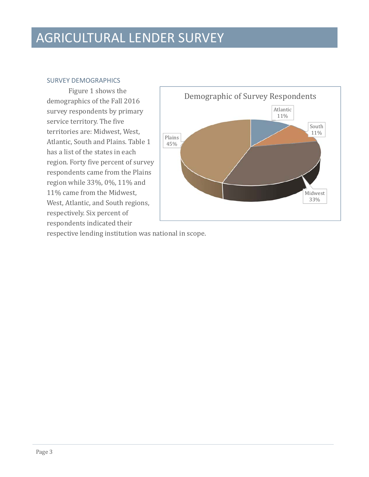#### SURVEY DEMOGRAPHICS

Figure 1 shows the demographics of the Fall 2016 survey respondents by primary service territory. The five territories are: Midwest, West, Atlantic, South and Plains. Table 1 has a list of the states in each region. Forty five percent of survey respondents came from the Plains region while  $33\%$ , 0%, 11% and 11% came from the Midwest, West, Atlantic, and South regions, respectively. Six percent of respondents indicated their



respective lending institution was national in scope.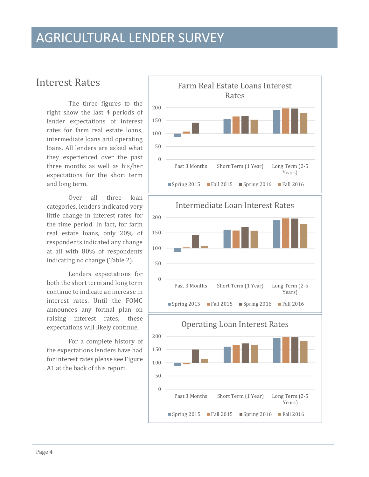### **Interest Rates**

The three figures to the right show the last 4 periods of lender expectations of interest rates for farm real estate loans, intermediate loans and operating loans. All lenders are asked what they experienced over the past three months as well as his/her expectations for the short term and long term.

Over all three loan categories, lenders indicated very little change in interest rates for the time period. In fact, for farm real estate loans, only 20% of respondents indicated any change at all with 80% of respondents indicating no change (Table 2).

Lenders expectations for both the short term and long term continue to indicate an increase in interest rates. Until the FOMC announces any formal plan on raising interest rates, these expectations will likely continue.

For a complete history of the expectations lenders have had for interest rates please see Figure A1 at the back of this report.

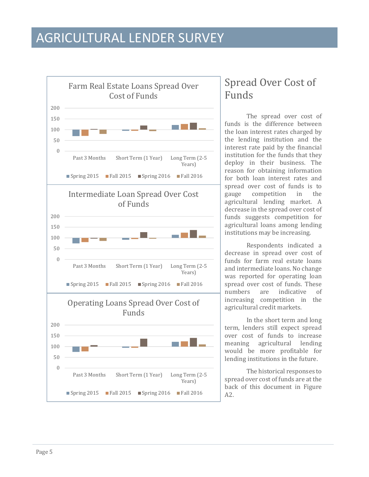

### Spread Over Cost of Funds

The spread over cost of funds is the difference between the loan interest rates charged by the lending institution and the interest rate paid by the financial institution for the funds that they deploy in their business. The reason for obtaining information for both loan interest rates and spread over cost of funds is to gauge competition in the agricultural lending market. A decrease in the spread over cost of funds suggests competition for agricultural loans among lending institutions may be increasing.

Respondents indicated a decrease in spread over cost of funds for farm real estate loans and intermediate loans. No change was reported for operating loan spread over cost of funds. These numbers are indicative of increasing competition in the agricultural credit markets.

In the short term and long term, lenders still expect spread over cost of funds to increase meaning agricultural lending would be more profitable for lending institutions in the future.

The historical responses to spread over cost of funds are at the back of this document in Figure A2.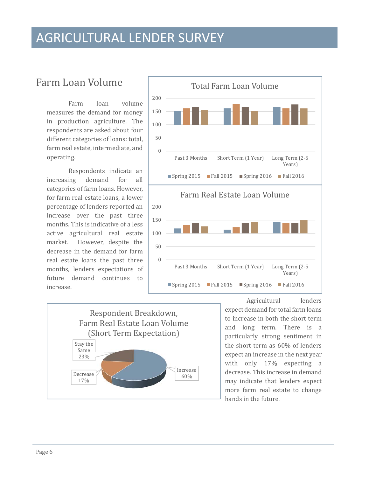### Farm Loan Volume

Farm loan volume measures the demand for money in production agriculture. The respondents are asked about four different categories of loans: total, farm real estate, intermediate, and operating. 

Respondents indicate an increasing demand for all categories of farm loans. However, for farm real estate loans, a lower percentage of lenders reported an increase over the past three months. This is indicative of a less active agricultural real estate market. However, despite the decrease in the demand for farm real estate loans the past three months, lenders expectations of future demand continues to increase. 





Agricultural lenders expect demand for total farm loans to increase in both the short term and long term. There is a particularly strong sentiment in the short term as  $60\%$  of lenders expect an increase in the next year with only  $17\%$  expecting a decrease. This increase in demand may indicate that lenders expect more farm real estate to change hands in the future.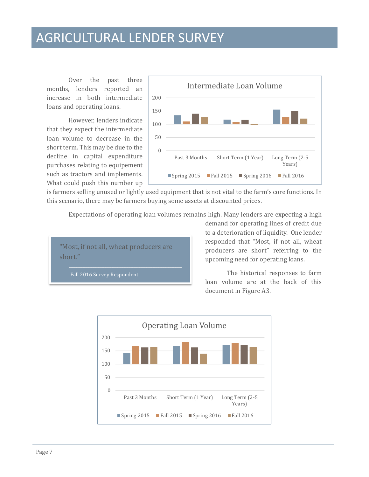Over the past three months, lenders reported an increase in both intermediate loans and operating loans.

However, lenders indicate that they expect the intermediate loan volume to decrease in the short term. This may be due to the decline in capital expenditure purchases relating to equipement such as tractors and implements. What could push this number up



is farmers selling unused or lightly used equipment that is not vital to the farm's core functions. In this scenario, there may be farmers buying some assets at discounted prices.

Expectations of operating loan volumes remains high. Many lenders are expecting a high

"Most, if not all, wheat producers are short." 

Fall 2016 Survey Respondent

demand for operating lines of credit due to a deterioration of liquidity. One lender responded that "Most, if not all, wheat producers are short" referring to the upcoming need for operating loans.

The historical responses to farm loan volume are at the back of this document in Figure A3.

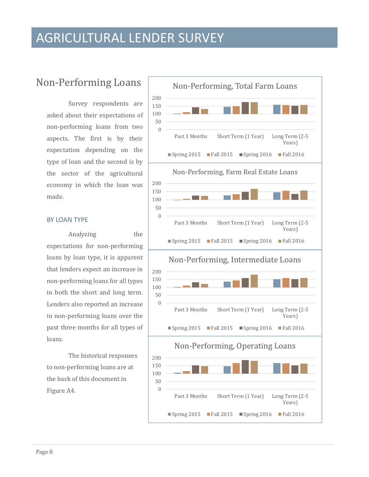### Non-Performing Loans

Survey respondents are asked about their expectations of non-performing loans from two aspects. The first is by their expectation depending on the type of loan and the second is by the sector of the agricultural economy in which the loan was made. 

#### BY LOAN TYPE

Analyzing the expectations for non-performing loans by loan type, it is apparent that lenders expect an increase in non-performing loans for all types in both the short and long term. Lenders also reported an increase in non-performing loans over the past three months for all types of loans. 

The historical responses to non-performing loans are at the back of this document in Figure A4.

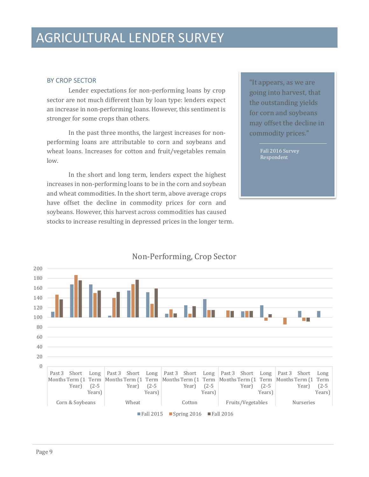#### BY CROP SECTOR

Lender expectations for non-performing loans by crop sector are not much different than by loan type: lenders expect an increase in non-performing loans. However, this sentiment is stronger for some crops than others.

In the past three months, the largest increases for nonperforming loans are attributable to corn and soybeans and wheat loans. Increases for cotton and fruit/vegetables remain low. 

In the short and long term, lenders expect the highest increases in non-performing loans to be in the corn and soybean and wheat commodities. In the short term, above average crops have offset the decline in commodity prices for corn and soybeans. However, this harvest across commodities has caused stocks to increase resulting in depressed prices in the longer term. "It appears, as we are going into harvest, that the outstanding yields for corn and soybeans may offset the decline in commodity prices."

> Fall 2016 Survey Respondent



#### Non-Performing, Crop Sector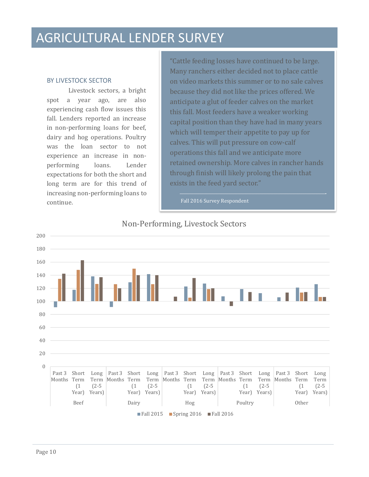#### BY LIVESTOCK SECTOR

Livestock sectors, a bright spot a year ago, are also experiencing cash flow issues this fall. Lenders reported an increase in non-performing loans for beef, dairy and hog operations. Poultry was the loan sector to not experience an increase in nonperforming loans. Lender expectations for both the short and long term are for this trend of increasing non-performing loans to continue. 

"Cattle feeding losses have continued to be large. Many ranchers either decided not to place cattle on video markets this summer or to no sale calves because they did not like the prices offered. We anticipate a glut of feeder calves on the market this fall. Most feeders have a weaker working capital position than they have had in many years which will temper their appetite to pay up for calves. This will put pressure on cow-calf operations this fall and we anticipate more retained ownership. More calves in rancher hands through finish will likely prolong the pain that exists in the feed yard sector."

Fall 2016 Survey Respondent

#### Non-Performing, Livestock Sectors

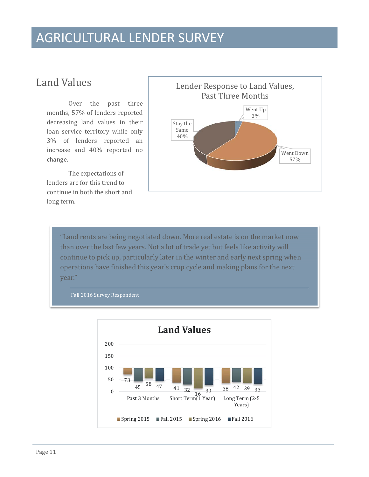### Land Values

Over the past three months, 57% of lenders reported decreasing land values in their loan service territory while only 3% of lenders reported an increase and 40% reported no change. 

The expectations of lenders are for this trend to continue in both the short and long term.



"Land rents are being negotiated down. More real estate is on the market now than over the last few years. Not a lot of trade yet but feels like activity will continue to pick up, particularly later in the winter and early next spring when operations have finished this year's crop cycle and making plans for the next year." 



Fall 2016 Survey Respondent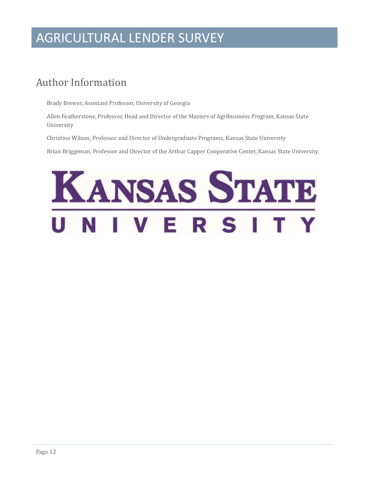### Author Information

Brady Brewer, Assistant Professor, University of Georgia

Allen Featherstone, Professor, Head and Director of the Masters of Agribusiness Program, Kansas State University 

Christine Wilson, Professor and Director of Undergraduate Programs, Kansas State University

Brian Briggeman, Professor and Director of the Arthur Capper Cooperative Center, Kansas State University

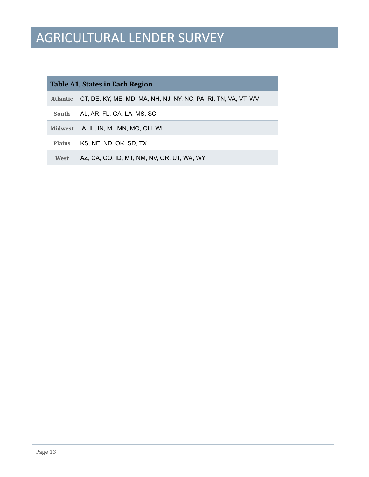| Table A1, States in Each Region |                                                                |  |  |  |  |  |  |  |  |  |  |
|---------------------------------|----------------------------------------------------------------|--|--|--|--|--|--|--|--|--|--|
| <b>Atlantic</b>                 | CT, DE, KY, ME, MD, MA, NH, NJ, NY, NC, PA, RI, TN, VA, VT, WV |  |  |  |  |  |  |  |  |  |  |
| South                           | AL, AR, FL, GA, LA, MS, SC                                     |  |  |  |  |  |  |  |  |  |  |
| <b>Midwest</b>                  | IA, IL, IN, MI, MN, MO, OH, WI                                 |  |  |  |  |  |  |  |  |  |  |
| <b>Plains</b>                   | KS, NE, ND, OK, SD, TX                                         |  |  |  |  |  |  |  |  |  |  |
| West                            | AZ, CA, CO, ID, MT, NM, NV, OR, UT, WA, WY                     |  |  |  |  |  |  |  |  |  |  |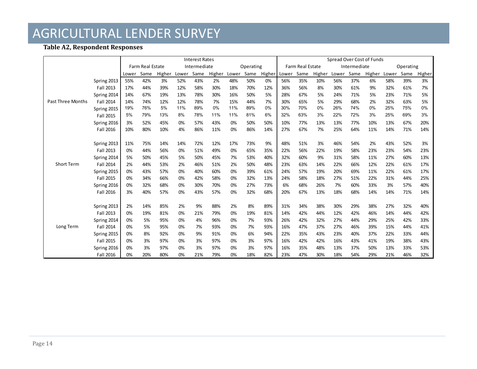#### **Table A2, Respondent Responses**

|                          |                  | <b>Interest Rates</b>            |      |        |       |      |        |           |      |        |                  | Spread Over Cost of Funds |              |       |      |           |       |      |        |
|--------------------------|------------------|----------------------------------|------|--------|-------|------|--------|-----------|------|--------|------------------|---------------------------|--------------|-------|------|-----------|-------|------|--------|
|                          |                  | Farm Real Estate<br>Intermediate |      |        |       |      |        | Operating |      |        | Farm Real Estate |                           | Intermediate |       |      | Operating |       |      |        |
|                          |                  | Lower                            | Same | Higher | Lower | Same | Higher | Lower     | Same | Higher | Lower            | Same                      | Higher       | Lower | Same | Higher    | Lower | Same | Higher |
|                          | Spring 2013      | 55%                              | 42%  | 3%     | 52%   | 43%  | 2%     | 48%       | 50%  | 0%     | 56%              | 35%                       | 10%          | 56%   | 37%  | 6%        | 58%   | 39%  | 3%     |
|                          | Fall 2013        | 17%                              | 44%  | 39%    | 12%   | 58%  | 30%    | 18%       | 70%  | 12%    | 36%              | 56%                       | 8%           | 30%   | 61%  | 9%        | 32%   | 61%  | 7%     |
|                          | Spring 2014      | 14%                              | 67%  | 19%    | 13%   | 78%  | 30%    | 16%       | 50%  | 5%     | 28%              | 67%                       | 5%           | 24%   | 71%  | 5%        | 23%   | 71%  | 5%     |
| <b>Past Three Months</b> | <b>Fall 2014</b> | 14%                              | 74%  | 12%    | 12%   | 78%  | 7%     | 15%       | 44%  | 7%     | 30%              | 65%                       | 5%           | 29%   | 68%  | 2%        | 32%   | 63%  | 5%     |
|                          | Spring 2015      | 19%                              | 76%  | 5%     | 11%   | 89%  | 0%     | 11%       | 89%  | 0%     | 30%              | 70%                       | 0%           | 26%   | 74%  | 0%        | 25%   | 75%  | 0%     |
|                          | Fall 2015        | 5%                               | 79%  | 13%    | 8%    | 78%  | 11%    | 11%       | 81%  | 6%     | 32%              | 63%                       | 3%           | 22%   | 72%  | 3%        | 25%   | 69%  | 3%     |
|                          | Spring 2016      | 3%                               | 52%  | 45%    | 0%    | 57%  | 43%    | 0%        | 50%  | 50%    | 10%              | 77%                       | 13%          | 13%   | 77%  | 10%       | 13%   | 67%  | 20%    |
|                          | Fall 2016        | 10%                              | 80%  | 10%    | 4%    | 86%  | 11%    | 0%        | 86%  | 14%    | 27%              | 67%                       | 7%           | 25%   | 64%  | 11%       | 14%   | 71%  | 14%    |
|                          |                  |                                  |      |        |       |      |        |           |      |        |                  |                           |              |       |      |           |       |      |        |
|                          | Spring 2013      | 11%                              | 75%  | 14%    | 14%   | 72%  | 12%    | 17%       | 73%  | 9%     | 48%              | 51%                       | 3%           | 46%   | 54%  | 2%        | 43%   | 52%  | 3%     |
|                          | Fall 2013        | 0%                               | 44%  | 56%    | 0%    | 51%  | 49%    | 0%        | 65%  | 35%    | 22%              | 56%                       | 22%          | 19%   | 58%  | 23%       | 23%   | 54%  | 23%    |
|                          | Spring 2014      | 5%                               | 50%  | 45%    | 5%    | 50%  | 45%    | 7%        | 53%  | 40%    | 32%              | 60%                       | 9%           | 31%   | 58%  | 11%       | 27%   | 60%  | 13%    |
| <b>Short Term</b>        | <b>Fall 2014</b> | 2%                               | 44%  | 53%    | 2%    | 46%  | 51%    | 2%        | 50%  | 48%    | 23%              | 63%                       | 14%          | 22%   | 66%  | 12%       | 22%   | 61%  | 17%    |
|                          | Spring 2015      | 0%                               | 43%  | 57%    | 0%    | 40%  | 60%    | 0%        | 39%  | 61%    | 24%              | 57%                       | 19%          | 20%   | 69%  | 11%       | 22%   | 61%  | 17%    |
|                          | Fall 2015        | 0%                               | 34%  | 66%    | 0%    | 42%  | 58%    | 0%        | 32%  | 13%    | 24%              | 58%                       | 18%          | 27%   | 51%  | 22%       | 31%   | 44%  | 25%    |
|                          | Spring 2016      | 0%                               | 32%  | 68%    | 0%    | 30%  | 70%    | 0%        | 27%  | 73%    | 6%               | 68%                       | 26%          | 7%    | 60%  | 33%       | 3%    | 57%  | 40%    |
|                          | Fall 2016        | 3%                               | 40%  | 57%    | 0%    | 43%  | 57%    | 0%        | 32%  | 68%    | 20%              | 67%                       | 13%          | 18%   | 68%  | 14%       | 14%   | 71%  | 14%    |
|                          |                  |                                  |      |        |       |      |        |           |      |        |                  |                           |              |       |      |           |       |      |        |
|                          | Spring 2013      | 2%                               | 14%  | 85%    | 2%    | 9%   | 88%    | 2%        | 8%   | 89%    | 31%              | 34%                       | 38%          | 30%   | 29%  | 38%       | 27%   | 32%  | 40%    |
|                          | Fall 2013        | 0%                               | 19%  | 81%    | 0%    | 21%  | 79%    | 0%        | 19%  | 81%    | 14%              | 42%                       | 44%          | 12%   | 42%  | 46%       | 14%   | 44%  | 42%    |
|                          | Spring 2014      | 0%                               | 5%   | 95%    | 0%    | 4%   | 96%    | 0%        | 7%   | 93%    | 26%              | 42%                       | 32%          | 27%   | 44%  | 29%       | 25%   | 42%  | 33%    |
| Long Term                | <b>Fall 2014</b> | 0%                               | 5%   | 95%    | 0%    | 7%   | 93%    | 0%        | 7%   | 93%    | 16%              | 47%                       | 37%          | 27%   | 46%  | 39%       | 15%   | 44%  | 41%    |
|                          | Spring 2015      | 0%                               | 8%   | 92%    | 0%    | 9%   | 91%    | 0%        | 6%   | 94%    | 22%              | 35%                       | 43%          | 23%   | 40%  | 37%       | 22%   | 33%  | 44%    |
|                          | Fall 2015        | 0%                               | 3%   | 97%    | 0%    | 3%   | 97%    | 0%        | 3%   | 97%    | 16%              | 42%                       | 42%          | 16%   | 43%  | 41%       | 19%   | 38%  | 43%    |
|                          | Spring 2016      | 0%                               | 3%   | 97%    | 0%    | 3%   | 97%    | 0%        | 3%   | 97%    | 16%              | 35%                       | 48%          | 13%   | 37%  | 50%       | 13%   | 33%  | 53%    |
|                          | <b>Fall 2016</b> | 0%                               | 20%  | 80%    | 0%    | 21%  | 79%    | 0%        | 18%  | 82%    | 23%              | 47%                       | 30%          | 18%   | 54%  | 29%       | 21%   | 46%  | 32%    |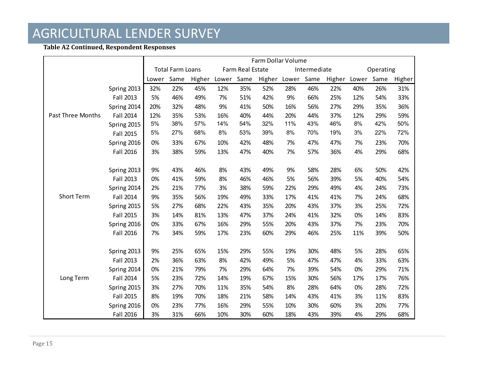#### **Table A2 Continued, Respondent Responses**

|                          |             | Farm Dollar Volume |                         |        |       |                  |        |       |              |        |           |      |        |  |
|--------------------------|-------------|--------------------|-------------------------|--------|-------|------------------|--------|-------|--------------|--------|-----------|------|--------|--|
|                          |             |                    | <b>Total Farm Loans</b> |        |       | Farm Real Estate |        |       | Intermediate |        | Operating |      |        |  |
|                          |             | Lower              | Same                    | Higher | Lower | Same             | Higher | Lower | Same         | Higher | Lower     | Same | Higher |  |
|                          | Spring 2013 | 32%                | 22%                     | 45%    | 12%   | 35%              | 52%    | 28%   | 46%          | 22%    | 40%       | 26%  | 31%    |  |
|                          | Fall 2013   | 5%                 | 46%                     | 49%    | 7%    | 51%              | 42%    | 9%    | 66%          | 25%    | 12%       | 54%  | 33%    |  |
|                          | Spring 2014 | 20%                | 32%                     | 48%    | 9%    | 41%              | 50%    | 16%   | 56%          | 27%    | 29%       | 35%  | 36%    |  |
| <b>Past Three Months</b> | Fall 2014   | 12%                | 35%                     | 53%    | 16%   | 40%              | 44%    | 20%   | 44%          | 37%    | 12%       | 29%  | 59%    |  |
|                          | Spring 2015 | 5%                 | 38%                     | 57%    | 14%   | 54%              | 32%    | 11%   | 43%          | 46%    | 8%        | 42%  | 50%    |  |
|                          | Fall 2015   | 5%                 | 27%                     | 68%    | 8%    | 53%              | 39%    | 8%    | 70%          | 19%    | 3%        | 22%  | 72%    |  |
|                          | Spring 2016 | 0%                 | 33%                     | 67%    | 10%   | 42%              | 48%    | 7%    | 47%          | 47%    | 7%        | 23%  | 70%    |  |
|                          | Fall 2016   | 3%                 | 38%                     | 59%    | 13%   | 47%              | 40%    | 7%    | 57%          | 36%    | 4%        | 29%  | 68%    |  |
|                          |             |                    |                         |        |       |                  |        |       |              |        |           |      |        |  |
|                          | Spring 2013 | 9%                 | 43%                     | 46%    | 8%    | 43%              | 49%    | 9%    | 58%          | 28%    | 6%        | 50%  | 42%    |  |
|                          | Fall 2013   | 0%                 | 41%                     | 59%    | 8%    | 46%              | 46%    | 5%    | 56%          | 39%    | 5%        | 40%  | 54%    |  |
|                          | Spring 2014 | 2%                 | 21%                     | 77%    | 3%    | 38%              | 59%    | 22%   | 29%          | 49%    | 4%        | 24%  | 73%    |  |
| <b>Short Term</b>        | Fall 2014   | 9%                 | 35%                     | 56%    | 19%   | 49%              | 33%    | 17%   | 41%          | 41%    | 7%        | 24%  | 68%    |  |
|                          | Spring 2015 | 5%                 | 27%                     | 68%    | 22%   | 43%              | 35%    | 20%   | 43%          | 37%    | 3%        | 25%  | 72%    |  |
|                          | Fall 2015   | 3%                 | 14%                     | 81%    | 13%   | 47%              | 37%    | 24%   | 41%          | 32%    | 0%        | 14%  | 83%    |  |
|                          | Spring 2016 | 0%                 | 33%                     | 67%    | 16%   | 29%              | 55%    | 20%   | 43%          | 37%    | 7%        | 23%  | 70%    |  |
|                          | Fall 2016   | 7%                 | 34%                     | 59%    | 17%   | 23%              | 60%    | 29%   | 46%          | 25%    | 11%       | 39%  | 50%    |  |
|                          |             |                    |                         |        |       |                  |        |       |              |        |           |      |        |  |
|                          | Spring 2013 | 9%                 | 25%                     | 65%    | 15%   | 29%              | 55%    | 19%   | 30%          | 48%    | 5%        | 28%  | 65%    |  |
|                          | Fall 2013   | 2%                 | 36%                     | 63%    | 8%    | 42%              | 49%    | 5%    | 47%          | 47%    | 4%        | 33%  | 63%    |  |
|                          | Spring 2014 | 0%                 | 21%                     | 79%    | 7%    | 29%              | 64%    | 7%    | 39%          | 54%    | 0%        | 29%  | 71%    |  |
| Long Term                | Fall 2014   | 5%                 | 23%                     | 72%    | 14%   | 19%              | 67%    | 15%   | 30%          | 56%    | 17%       | 17%  | 76%    |  |
|                          | Spring 2015 | 3%                 | 27%                     | 70%    | 11%   | 35%              | 54%    | 8%    | 28%          | 64%    | 0%        | 28%  | 72%    |  |
|                          | Fall 2015   | 8%                 | 19%                     | 70%    | 18%   | 21%              | 58%    | 14%   | 43%          | 41%    | 3%        | 11%  | 83%    |  |
|                          | Spring 2016 | 0%                 | 23%                     | 77%    | 16%   | 29%              | 55%    | 10%   | 30%          | 60%    | 3%        | 20%  | 77%    |  |
|                          | Fall 2016   | 3%                 | 31%                     | 66%    | 10%   | 30%              | 60%    | 18%   | 43%          | 39%    | 4%        | 29%  | 68%    |  |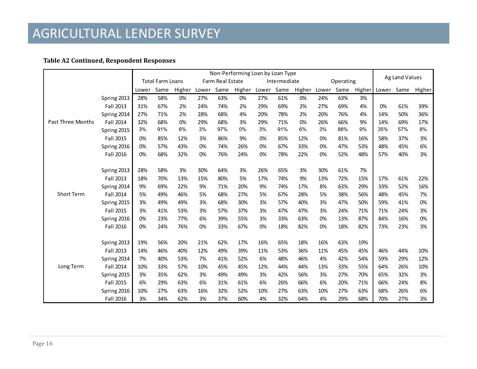#### **Table A2 Continued, Respondent Responses**

|                          |                  | Non-Performing Loan by Loan Type            |      |        |       |      |              |     |      |           |       |      |                |       |      |        |
|--------------------------|------------------|---------------------------------------------|------|--------|-------|------|--------------|-----|------|-----------|-------|------|----------------|-------|------|--------|
|                          |                  | Farm Real Estate<br><b>Total Farm Loans</b> |      |        |       |      | Intermediate |     |      | Operating |       |      | Ag Land Values |       |      |        |
|                          |                  | Lower                                       | Same | Higher | Lower | Same | Higher Lower |     | Same | Higher    | Lower | Same | Higher         | Lower | Same | Higher |
|                          | Spring 2013      | 28%                                         | 58%  | 0%     | 27%   | 63%  | 0%           | 27% | 61%  | 0%        | 24%   | 63%  | 3%             |       |      |        |
|                          | Fall 2013        | 31%                                         | 67%  | 2%     | 24%   | 74%  | 2%           | 29% | 69%  | 2%        | 27%   | 69%  | 4%             | 0%    | 61%  | 39%    |
|                          | Spring 2014      | 27%                                         | 71%  | 2%     | 28%   | 68%  | 4%           | 20% | 78%  | 2%        | 20%   | 76%  | 4%             | 14%   | 50%  | 36%    |
| <b>Past Three Months</b> | Fall 2014        | 32%                                         | 68%  | 0%     | 29%   | 68%  | 3%           | 29% | 71%  | 0%        | 26%   | 66%  | 9%             | 14%   | 69%  | 17%    |
|                          | Spring 2015      | 3%                                          | 91%  | 6%     | 3%    | 97%  | 0%           | 3%  | 91%  | 6%        | 3%    | 88%  | 9%             | 35%   | 57%  | 8%     |
|                          | Fall 2015        | 0%                                          | 85%  | 12%    | 3%    | 86%  | 9%           | 0%  | 85%  | 12%       | 0%    | 81%  | 16%            | 58%   | 37%  | 3%     |
|                          | Spring 2016      | 0%                                          | 57%  | 43%    | 0%    | 74%  | 26%          | 0%  | 67%  | 33%       | 0%    | 47%  | 53%            | 48%   | 45%  | 6%     |
|                          | Fall 2016        | 0%                                          | 68%  | 32%    | 0%    | 76%  | 24%          | 0%  | 78%  | 22%       | 0%    | 52%  | 48%            | 57%   | 40%  | 3%     |
|                          |                  |                                             |      |        |       |      |              |     |      |           |       |      |                |       |      |        |
|                          | Spring 2013      | 28%                                         | 58%  | 3%     | 30%   | 64%  | 3%           | 26% | 65%  | 3%        | 30%   | 61%  | 7%             |       |      |        |
|                          | Fall 2013        | 18%                                         | 70%  | 13%    | 15%   | 80%  | 5%           | 17% | 74%  | 9%        | 13%   | 72%  | 15%            | 17%   | 61%  | 22%    |
|                          | Spring 2014      | 9%                                          | 69%  | 22%    | 9%    | 71%  | 20%          | 9%  | 74%  | 17%       | 8%    | 63%  | 29%            | 33%   | 52%  | 16%    |
| <b>Short Term</b>        | <b>Fall 2014</b> | 5%                                          | 49%  | 46%    | 5%    | 68%  | 27%          | 5%  | 67%  | 28%       | 5%    | 38%  | 56%            | 48%   | 45%  | 7%     |
|                          | Spring 2015      | 3%                                          | 49%  | 49%    | 3%    | 68%  | 30%          | 3%  | 57%  | 40%       | 3%    | 47%  | 50%            | 59%   | 41%  | 0%     |
|                          | Fall 2015        | 3%                                          | 41%  | 53%    | 3%    | 57%  | 37%          | 3%  | 47%  | 47%       | 3%    | 24%  | 71%            | 71%   | 24%  | 3%     |
|                          | Spring 2016      | 0%                                          | 23%  | 77%    | 6%    | 39%  | 55%          | 3%  | 33%  | 63%       | 0%    | 13%  | 87%            | 84%   | 16%  | 0%     |
|                          | Fall 2016        | 0%                                          | 24%  | 76%    | 0%    | 33%  | 67%          | 0%  | 18%  | 82%       | 0%    | 18%  | 82%            | 73%   | 23%  | 3%     |
|                          |                  |                                             |      |        |       |      |              |     |      |           |       |      |                |       |      |        |
|                          | Spring 2013      | 19%                                         | 56%  | 20%    | 21%   | 62%  | 17%          | 16% | 65%  | 18%       | 16%   | 63%  | 19%            |       |      |        |
|                          | Fall 2013        | 14%                                         | 46%  | 40%    | 12%   | 49%  | 39%          | 11% | 53%  | 36%       | 11%   | 45%  | 45%            | 46%   | 44%  | 10%    |
|                          | Spring 2014      | 7%                                          | 40%  | 53%    | 7%    | 41%  | 52%          | 6%  | 48%  | 46%       | 4%    | 42%  | 54%            | 59%   | 29%  | 12%    |
| Long Term                | Fall 2014        | 10%                                         | 33%  | 57%    | 10%   | 45%  | 45%          | 12% | 44%  | 44%       | 13%   | 33%  | 55%            | 64%   | 26%  | 10%    |
|                          | Spring 2015      | 3%                                          | 35%  | 62%    | 3%    | 49%  | 49%          | 3%  | 42%  | 56%       | 3%    | 27%  | 70%            | 65%   | 32%  | 3%     |
|                          | Fall 2015        | 6%                                          | 29%  | 63%    | 6%    | 31%  | 61%          | 6%  | 26%  | 66%       | 6%    | 20%  | 71%            | 66%   | 24%  | 8%     |
|                          | Spring 2016      | 10%                                         | 27%  | 63%    | 16%   | 32%  | 52%          | 10% | 27%  | 63%       | 10%   | 27%  | 63%            | 68%   | 26%  | 6%     |
|                          | Fall 2016        | 3%                                          | 34%  | 62%    | 3%    | 37%  | 60%          | 4%  | 32%  | 64%       | 4%    | 29%  | 68%            | 70%   | 27%  | 3%     |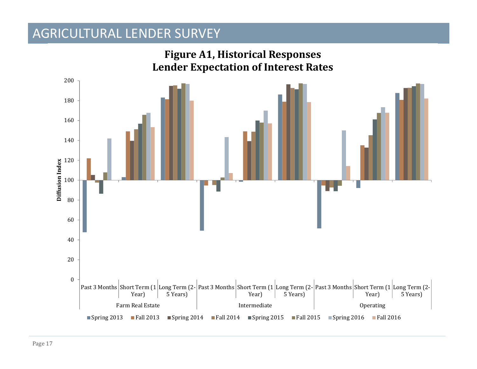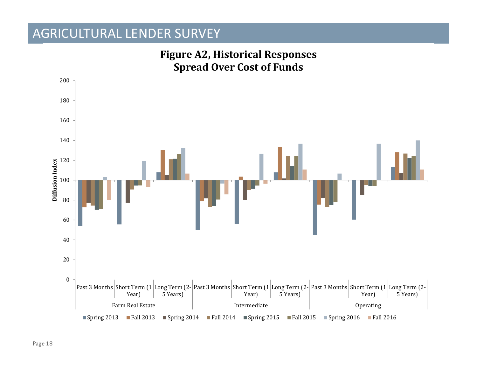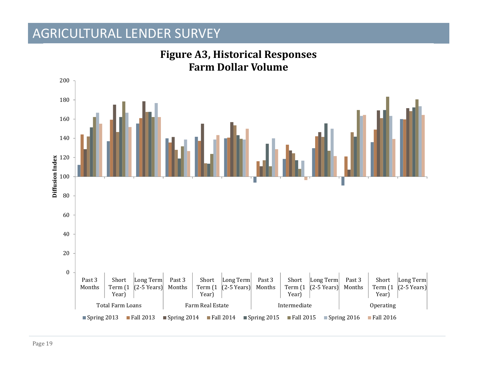

### **Figure A3, Historical Responses Farm Dollar Volume**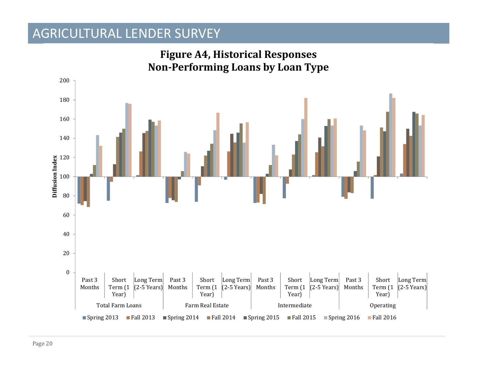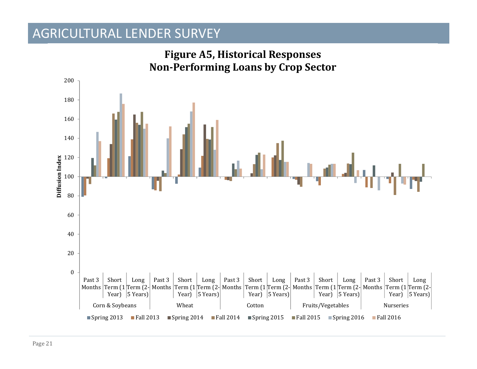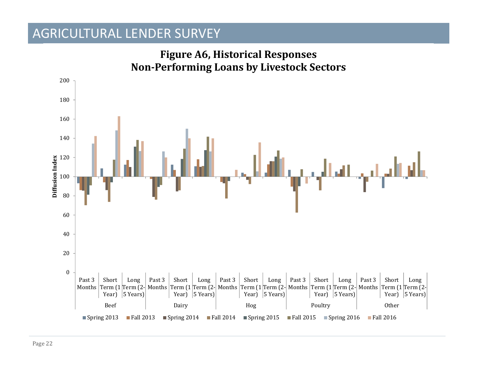